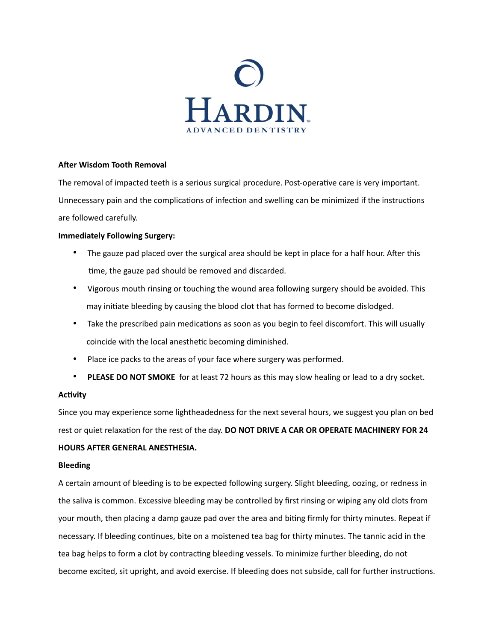

### **After Wisdom Tooth Removal**

The removal of impacted teeth is a serious surgical procedure. Post-operative care is very important. Unnecessary pain and the complications of infection and swelling can be minimized if the instructions are followed carefully.

### **Immediately Following Surgery:**

- The gauze pad placed over the surgical area should be kept in place for a half hour. After this time, the gauze pad should be removed and discarded.
- Vigorous mouth rinsing or touching the wound area following surgery should be avoided. This may initiate bleeding by causing the blood clot that has formed to become dislodged.
- Take the prescribed pain medications as soon as you begin to feel discomfort. This will usually coincide with the local anesthetic becoming diminished.
- Place ice packs to the areas of your face where surgery was performed.
- **PLEASE DO NOT SMOKE** for at least 72 hours as this may slow healing or lead to a dry socket.

### **Activity**

Since you may experience some lightheadedness for the next several hours, we suggest you plan on bed rest or quiet relaxation for the rest of the day. **DO NOT DRIVE A CAR OR OPERATE MACHINERY FOR 24** 

## **HOURS AFTER GENERAL ANESTHESIA.**

### **Bleeding**

A certain amount of bleeding is to be expected following surgery. Slight bleeding, oozing, or redness in the saliva is common. Excessive bleeding may be controlled by first rinsing or wiping any old clots from your mouth, then placing a damp gauze pad over the area and biting firmly for thirty minutes. Repeat if necessary. If bleeding continues, bite on a moistened tea bag for thirty minutes. The tannic acid in the tea bag helps to form a clot by contracting bleeding vessels. To minimize further bleeding, do not become excited, sit upright, and avoid exercise. If bleeding does not subside, call for further instructions.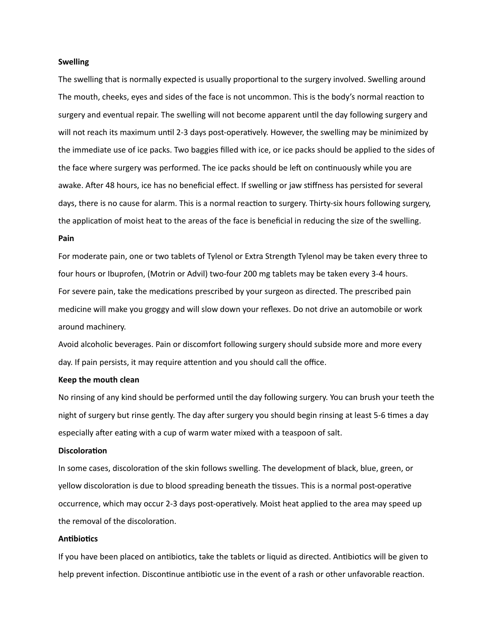#### **Swelling**

The swelling that is normally expected is usually proportional to the surgery involved. Swelling around The mouth, cheeks, eyes and sides of the face is not uncommon. This is the body's normal reaction to surgery and eventual repair. The swelling will not become apparent until the day following surgery and will not reach its maximum until 2-3 days post-operatively. However, the swelling may be minimized by the immediate use of ice packs. Two baggies filled with ice, or ice packs should be applied to the sides of the face where surgery was performed. The ice packs should be left on continuously while you are awake. After 48 hours, ice has no beneficial effect. If swelling or jaw stiffness has persisted for several days, there is no cause for alarm. This is a normal reaction to surgery. Thirty-six hours following surgery, the application of moist heat to the areas of the face is beneficial in reducing the size of the swelling.

#### **Pain**

For moderate pain, one or two tablets of Tylenol or Extra Strength Tylenol may be taken every three to four hours or Ibuprofen, (Motrin or Advil) two-four 200 mg tablets may be taken every 3-4 hours. For severe pain, take the medications prescribed by your surgeon as directed. The prescribed pain medicine will make you groggy and will slow down your reflexes. Do not drive an automobile or work around machinery.

Avoid alcoholic beverages. Pain or discomfort following surgery should subside more and more every day. If pain persists, it may require attention and you should call the office.

#### **Keep the mouth clean**

No rinsing of any kind should be performed until the day following surgery. You can brush your teeth the night of surgery but rinse gently. The day after surgery you should begin rinsing at least 5-6 times a day especially after eating with a cup of warm water mixed with a teaspoon of salt.

#### **Discoloration**

In some cases, discoloration of the skin follows swelling. The development of black, blue, green, or yellow discoloration is due to blood spreading beneath the tissues. This is a normal post-operative occurrence, which may occur 2-3 days post-operatively. Moist heat applied to the area may speed up the removal of the discoloration.

#### **Antibiotics**

If you have been placed on antibiotics, take the tablets or liquid as directed. Antibiotics will be given to help prevent infection. Discontinue antibiotic use in the event of a rash or other unfavorable reaction.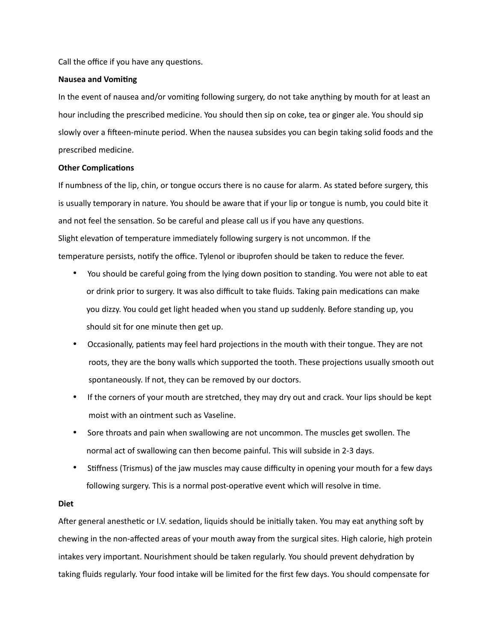Call the office if you have any questions.

#### **Nausea and Vomiting**

In the event of nausea and/or vomiting following surgery, do not take anything by mouth for at least an hour including the prescribed medicine. You should then sip on coke, tea or ginger ale. You should sip slowly over a fifteen-minute period. When the nausea subsides you can begin taking solid foods and the prescribed medicine.

#### **Other Complications**

If numbness of the lip, chin, or tongue occurs there is no cause for alarm. As stated before surgery, this is usually temporary in nature. You should be aware that if your lip or tongue is numb, you could bite it and not feel the sensation. So be careful and please call us if you have any questions. Slight elevation of temperature immediately following surgery is not uncommon. If the temperature persists, notify the office. Tylenol or ibuprofen should be taken to reduce the fever.

- You should be careful going from the lying down position to standing. You were not able to eat or drink prior to surgery. It was also difficult to take fluids. Taking pain medications can make you dizzy. You could get light headed when you stand up suddenly. Before standing up, you should sit for one minute then get up.
- Occasionally, patients may feel hard projections in the mouth with their tongue. They are not roots, they are the bony walls which supported the tooth. These projections usually smooth out spontaneously. If not, they can be removed by our doctors.
- If the corners of your mouth are stretched, they may dry out and crack. Your lips should be kept moist with an ointment such as Vaseline.
- Sore throats and pain when swallowing are not uncommon. The muscles get swollen. The normal act of swallowing can then become painful. This will subside in 2-3 days.
- Stiffness (Trismus) of the jaw muscles may cause difficulty in opening your mouth for a few days following surgery. This is a normal post-operative event which will resolve in time.

#### **Diet**

After general anesthetic or I.V. sedation, liquids should be initially taken. You may eat anything soft by chewing in the non-affected areas of your mouth away from the surgical sites. High calorie, high protein intakes very important. Nourishment should be taken regularly. You should prevent dehydration by taking fluids regularly. Your food intake will be limited for the first few days. You should compensate for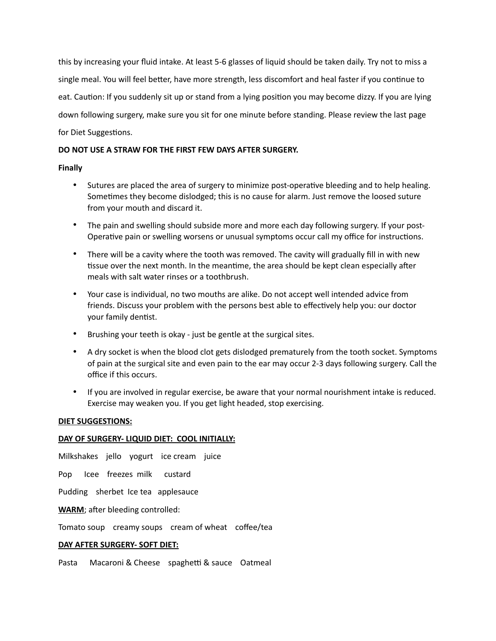this by increasing your fluid intake. At least 5-6 glasses of liquid should be taken daily. Try not to miss a single meal. You will feel better, have more strength, less discomfort and heal faster if you continue to eat. Caution: If you suddenly sit up or stand from a lying position you may become dizzy. If you are lying down following surgery, make sure you sit for one minute before standing. Please review the last page for Diet Suggestions.

### **DO NOT USE A STRAW FOR THE FIRST FEW DAYS AFTER SURGERY.**

### **Finally**

- Sutures are placed the area of surgery to minimize post-operative bleeding and to help healing. Sometimes they become dislodged; this is no cause for alarm. Just remove the loosed suture from your mouth and discard it.
- The pain and swelling should subside more and more each day following surgery. If your post-Operative pain or swelling worsens or unusual symptoms occur call my office for instructions.
- There will be a cavity where the tooth was removed. The cavity will gradually fill in with new tissue over the next month. In the meantime, the area should be kept clean especially after meals with salt water rinses or a toothbrush.
- Your case is individual, no two mouths are alike. Do not accept well intended advice from friends. Discuss your problem with the persons best able to effectively help you: our doctor your family dentist.
- Brushing your teeth is okay just be gentle at the surgical sites.
- A dry socket is when the blood clot gets dislodged prematurely from the tooth socket. Symptoms of pain at the surgical site and even pain to the ear may occur 2-3 days following surgery. Call the office if this occurs.
- If you are involved in regular exercise, be aware that your normal nourishment intake is reduced. Exercise may weaken you. If you get light headed, stop exercising.

### **DIET SUGGESTIONS:**

## **DAY OF SURGERY- LIQUID DIET: COOL INITIALLY:**

Milkshakes jello yogurt ice cream juice

Pop Icee freezes milk custard

Pudding sherbet Ice tea applesauce

**WARM**; after bleeding controlled:

Tomato soup creamy soups cream of wheat coffee/tea

### **DAY AFTER SURGERY- SOFT DIET:**

Pasta Macaroni & Cheese spaghetti & sauce Oatmeal